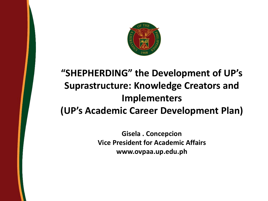

## **"SHEPHERDING" the Development of UP's Suprastructure: Knowledge Creators and Implementers (UP's Academic Career Development Plan)**

**Gisela . Concepcion Vice President for Academic Affairs www.ovpaa.up.edu.ph**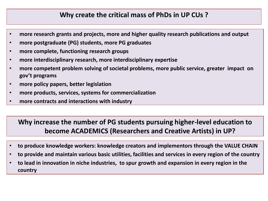## **Why create the critical mass of PhDs in UP CUs ?**

- **more research grants and projects, more and higher quality research publications and output**
- **more postgraduate (PG) students, more PG graduates**
- **more complete, functioning research groups**
- **more interdisciplinary research, more interdisciplinary expertise**
- **more competent problem solving of societal problems, more public service, greater impact on gov't programs**
- **more policy papers, better legislation**
- **more products, services, systems for commercialization**
- **more contracts and interactions with industry**

## **Why increase the number of PG students pursuing higher-level education to become ACADEMICS (Researchers and Creative Artists) in UP?**

- **to produce knowledge workers: knowledge creators and implementors through the VALUE CHAIN**
- **to provide and maintain various basic utilities, facilities and services in every region of the country**
- **to lead in innovation in niche industries, to spur growth and expansion in every region in the country**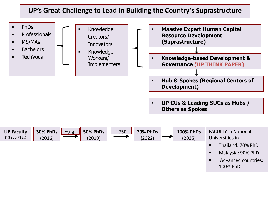## **UP's Great Challenge to Lead in Building the Country's Suprastructure**